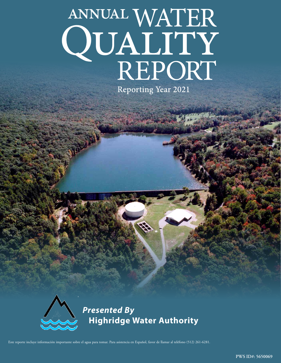# ANNUAL WATER QUALITY

**Reporting Year 2021** 



*Presented By* **Highridge Water Authority**

Este reporte incluye información importante sobre el agua para tomar. Para asistencia en Español, favor de llamar al teléfono (512) 261-6281.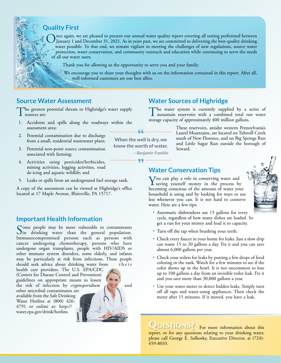## **Quality First**

Once again, we are pleased to present our annual water quality report covering all testing performed between January 1 and December 31, 2021. As in years past, we are committed to delivering the best-quality drinking measu water possible. To that end, we remain vigilant in meeting the challenges of new regulations, source water protection, water conservation, and community outreach and education while continuing to serve the needs of all our water users.

Thank you for allowing us the opportunity to serve you and your family.

We encourage you to share your thoughts with us on the information contained in this report. After all, well-informed customers are our best allies.

## **Source Water Assessment**

The greatest potential threats to Highridge's water supply **L** sources are:

- 1. Accidents and spills along the roadways within the assessment area;
- 2. Potential contamination due to discharge from a small, residential wastewater plant;
- 3. Potential non-point source contamination associated with farming;
- 4. Activities using pesticides/herbicides, mining activities, logging activities, road de-icing and aquatic wildlife; and
- 5. Leaks or spills from an underground fuel storage tank.

A copy of the assessment can be viewed at Highridge's office located at 17 Maple Avenue, Blairsville, PA 15717.

## **Important Health Information**

Some people may be more vulnerable to contaminants<br>in drinking water than the general population. Immunocompromised persons such as persons with cancer undergoing chemotherapy, persons who have undergone organ transplants, people with HIV/AIDS or other immune system disorders, some elderly, and infants may be particularly at risk from infections. These people should seek advice about drinking water from their

health care providers. The U.S. EPA/CDC (Centers for Disease Control and Prevention) guidelines on appropriate means to lessen the risk of infection by *cryptosporidium*  $\left\langle \left\langle \left\langle \right\rangle \right\rangle \right\rangle$  and other microbial contaminants are available from the Safe Drinking Water Hotline at (800) 426- 4791 or online at: [http://](http://water.epa.gov/drink/hotline) [water.epa.gov/drink/hotline.](http://water.epa.gov/drink/hotline)



# **Water Sources of Highridge**

The water system is currently supplied by a series of mountain reservoirs with a combined total raw water storage capacity of approximately 400 million gallons.

66 **When the well is dry, we know the worth of water.**

99

*—Benjamin Franklin*

These reservoirs, amidst western Pennsylvania's Laurel Mountains, are located on Tubmill Creek south of New Florence, and on Big Springs Run and Little Sugar Run outside the borough of Seward.

## **Water Conservation Tips**

You can play a role in conserving water and<br>saving yourself money in the process by becoming conscious of the amount of water your household is using and by looking for ways to use less whenever you can. It is not hard to conserve water. Here are a few tips:



- Automatic dishwashers use 15 gallons for every cycle, regardless of how many dishes are loaded. So get a run for your money and load it to capacity.
- Turn off the tap when brushing your teeth.
- Check every faucet in your home for leaks. Just a slow drip can waste 15 to 20 gallons a day. Fix it and you can save almost 6,000 gallons per year.
- Check your toilets for leaks by putting a few drops of food coloring in the tank. Watch for a few minutes to see if the color shows up in the bowl. It is not uncommon to lose up to 100 gallons a day from an invisible toilet leak. Fix it and you save more than 30,000 gallons a year.
- Use your water meter to detect hidden leaks. Simply turn off all taps and water-using appliances. Then check the meter after 15 minutes. If it moved, you have a leak.

QUESTIONS? For more information about this

report, or for any questions relating to your drinking water, please call George E. Sulkosky, Executive Director, at (724)- 459-8033.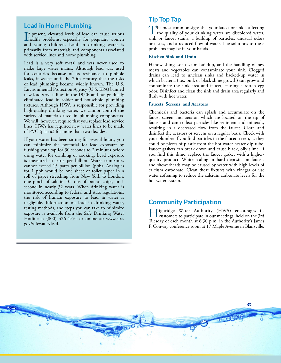## **Lead in Home Plumbing**

If present, elevated levels of lead can cause serious<br>health problems, especially for pregnant women f present, elevated levels of lead can cause serious and young children. Lead in drinking water is primarily from materials and components associated with service lines and home plumbing.

Lead is a very soft metal and was never used to make large water mains. Although lead was used for centuries because of its resistance to pinhole leaks, it wasn't until the 20th century that the risks of lead plumbing became widely known. The U.S. Environmental Protection Agency (U.S. EPA) banned new lead service lines in the 1950s and has gradually eliminated lead in solder and household plumbing fixtures. Although HWA is responsible for providing high-quality drinking water, we cannot control the variety of materials used in plumbing components. We will, however, require that you replace lead service lines. HWA has required new water lines to be made of PVC (plastic) for more than two decades.

If your water has been sitting for several hours, you can minimize the potential for lead exposure by flushing your tap for 30 seconds to 2 minutes before using water for drinking or cooking. Lead exposure is measured in parts per billion. Water companies cannot exceed 15 parts per billion (ppb). Analogies for 1 ppb would be one sheet of toilet paper in a roll of paper stretching from New York to London, one pinch of salt in 10 tons of potato chips, or 1 second in nearly 32 years. When drinking water is monitored according to federal and state regulations, the risk of human exposure to lead in water is negligible. Information on lead in drinking water, testing methods, and steps you can take to minimize exposure is available from the Safe Drinking Water Hotline at (800) 426-4791 or online at: [www.epa.](http://www.epa.gov/safewater/lead) [gov/safewater/lead.](http://www.epa.gov/safewater/lead)

## **Tip Top Tap**

The most common signs that your faucet or sink is affecting<br>the quality of your drinking water are discolored water,<br>sink an faust ation as hailding of namidles, unusual admi sink or faucet stains, a buildup of particles, unusual odors or tastes, and a reduced flow of water. The solutions to these problems may be in your hands.

#### **Kitchen Sink and Drain**

Handwashing, soap scum buildup, and the handling of raw meats and vegetables can contaminate your sink. Clogged drains can lead to unclean sinks and backed-up water in which bacteria (i.e., pink or black slime growth) can grow and contaminate the sink area and faucet, causing a rotten egg odor. Disinfect and clean the sink and drain area regularly and flush with hot water.

#### **Faucets, Screens, and Aerators**

Chemicals and bacteria can splash and accumulate on the faucet screen and aerator, which are located on the tip of faucets and can collect particles like sediment and minerals, resulting in a decreased flow from the faucet. Clean and disinfect the aerators or screens on a regular basis. Check with your plumber if you find particles in the faucet screen, as they could be pieces of plastic from the hot water heater dip tube. Faucet gaskets can break down and cause black, oily slime. If you find this slime, replace the faucet gasket with a higherquality product. White scaling or hard deposits on faucets and showerheads may be caused by water with high levels of calcium carbonate. Clean these fixtures with vinegar or use water softening to reduce the calcium carbonate levels for the hot water system.

## **Community Participation**

Highridge Water Authority (HWA) encourages its customers to participate in our meetings, held on the 3rd Tuesday of each month at 6:30 p.m. in the Authority's James F. Conway conference room at 17 Maple Avenue in Blairsville.

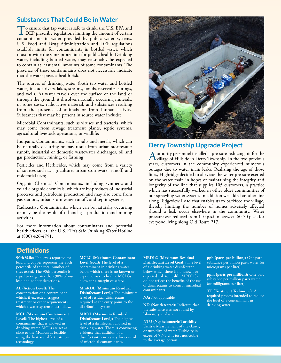## **Substances That Could Be in Water**

To ensure that tap water is safe to drink, the U.S. EPA and<br>DEP prescribe regulations limiting the amount of certain contaminants in water provided by public water systems. U.S. Food and Drug Administration and DEP regulations establish limits for contaminants in bottled water, which must provide the same protection for public health. Drinking water, including bottled water, may reasonably be expected to contain at least small amounts of some contaminants. The presence of these contaminants does not necessarily indicate that the water poses a health risk.

The sources of drinking water (both tap water and bottled water) include rivers, lakes, streams, ponds, reservoirs, springs, and wells. As water travels over the surface of the land or through the ground, it dissolves naturally occurring minerals, in some cases, radioactive material, and substances resulting from the presence of animals or from human activity. Substances that may be present in source water include:

Microbial Contaminants, such as viruses and bacteria, which may come from sewage treatment plants, septic systems, agricultural livestock operations, or wildlife;

Inorganic Contaminants, such as salts and metals, which can be naturally occurring or may result from urban stormwater runoff, industrial or domestic wastewater discharges, oil and gas production, mining, or farming;

Pesticides and Herbicides, which may come from a variety of sources such as agriculture, urban stormwater runoff, and residential uses;

Organic Chemical Contaminants, including synthetic and volatile organic chemicals, which are by-products of industrial processes and petroleum production and may also come from gas stations, urban stormwater runoff, and septic systems;

Radioactive Contaminants, which can be naturally occurring or may be the result of oil and gas production and mining activities.

For more information about contaminants and potential health effects, call the U.S. EPA's Safe Drinking Water Hotline at (800) 426-4791.



## **Derry Township Upgrade Project**

Authority personnel installed a pressure-reducing pit for the village of Hillside in Derry Township. In the two previous years, customers in the community experienced numerous outages due to water main leaks. Realizing the age of those lines, Highridge decided to alleviate the water pressure exerted on the water main in hopes of maintaining the integrity and longevity of the line that supplies 105 customers, a practice which has successfully worked in other older communities of our sprawling water system. In addition we added another line along Ridgeview Road that enables us to backfeed the village, thereby limiting the number of homes adversely affected should a leak occur elsewhere in the community. Water pressure was reduced from 110 p.s.i to between 60-70 p.s.i. for everyone living along Old Route 217.

## **Definitions**

**90th %ile:** The levels reported for lead and copper represent the 90th percentile of the total number of sites tested. The 90th percentile is equal to or greater than 90% of our lead and copper detections.

**AL (Action Level):** The concentration of a contaminant which, if exceeded, triggers treatment or other requirements which a water system must follow.

**MCL (Maximum Contaminant Level):** The highest level of a contaminant that is allowed in drinking water. MCLs are set as close to the MCLGs as feasible using the best available treatment technology.

**MCLG (Maximum Contaminant Level Goal):** The level of a contaminant in drinking water below which there is no known or expected risk to health. MCLGs allow for a margin of safety.

**MinRDL (Minimum Residual Disinfectant Level):** The minimum level of residual disinfectant required at the entry point to the distribution system.

**MRDL (Maximum Residual Disinfectant Level):** The highest level of a disinfectant allowed in drinking water. There is convincing evidence that addition of a disinfectant is necessary for control of microbial contaminants.

**MRDLG (Maximum Residual Disinfectant Level Goal):** The level of a drinking water disinfectant below which there is no known or expected risk to health. MRDLGs do not reflect the benefits of the use of disinfectants to control microbial contaminants.

**NA:** Not applicable

**ND (Not detected):** Indicates that the substance was not found by laboratory analysis.

**NTU (Nephelometric Turbidity Units):** Measurement of the clarity, or turbidity, of water. Turbidity in excess of 5 NTU is just noticeable to the average person.

**ppb (parts per billion):** One part substance per billion parts water (or micrograms per liter).

**ppm (parts per million):** One part substance per million parts water (or milligrams per liter).

**TT (Treatment Technique):** A required process intended to reduce the level of a contaminant in drinking water.